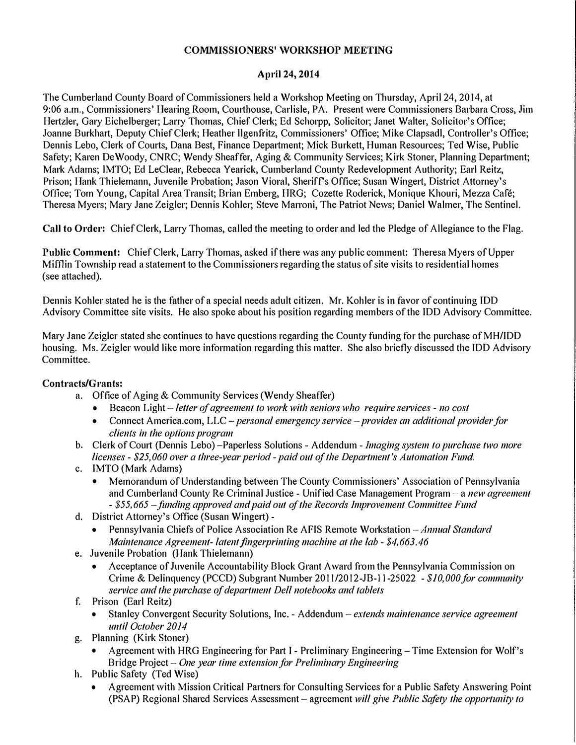### **COMMISSIONERS' WORKSHOP MEETING**

### **April 24, 2014**

The Cumberland County Board of Commissioners held a Workshop Meeting on Thursday, April 24, 2014, at 9:06 a.m., Commissioners' Hearing Room, Courthouse, Carlisle, PA. Present were Commissioners Barbara Cross, Jim Hettzler, Gary Eichelberger; Larry Thomas, Chief Clerk; Ed Schorpp, Solicitor; Janet Walter, Solicitor's Office; Joanne Burkhart, Deputy Chief Clerk; Heather Ilgenfritz, Commissioners' Office; Mike Clapsadl, Controller's Office; Dennis Lebo, Clerk of Courts, Dana Best, Finance Department; Mick Burkett, Human Resources; Ted Wise, Public Safety; Karen De Woody, CNRC; Wendy Sheaffer, Aging & Community Services; Kirk Stoner, Planning Depattment; Mark Adams; lMTO; Ed LeClear, Rebecca Yearick, Cumberland County Redevelopment Authority; Earl Reitz, Prison; Hank Thielemann, Juvenile Probation; Jason Vioral, Sheriffs Office; Susan Wingett, District Attorney's Office; Tom Young, Capital Area Transit; Brian Emberg, HRG; Cozette Roderick, Monique Khouri, Mezza Cafe; Theresa Myers; Mary Jane Zeigler; Dennis Kohler; Steve Marroni, The Patriot News; Daniel Walmer, The Sentinel.

**Call to Order:** Chief Clerk, Larry Thomas, called the meeting to order and led the Pledge of Allegiance to the Flag.

Public Comment: Chief Clerk, Larry Thomas, asked if there was any public comment: Theresa Myers of Upper Mifflin Township read a statement to the Commissioners regarding the status of site visits to residential homes (see attached).

Dennis Kohler stated he is the father of a special needs adult citizen. Mr. Kohler is in favor of continuing !DD Advisory Committee site visits. He also spoke about his position regarding members of the !DD Advisory Committee.

Mary Jane Zeigler stated she continues to have questions regarding the County funding for the purchase ofMH/IDD housing. Ms. Zeigler would like more information regarding this matter. She also briefly discussed the !DD Advisory Committee.

### **Contracts/Grants:**

- a. Office of Aging & Community Services (Wendy Sheaffer)
	- **Beacon Light** *letter of agreement to work with seniors who require services no cost*
	- Connect America.com, LLC *personal emergency service provides an additional provider for clients in the options program*
- b. Clerk of Court (Dennis Lebo)-Paperless Solutions -Addendum *-Imaging system to purchase two more licenses* - *\$25,060 over a three-year period- paid out of the Department's Automation Fund.*
- c. IMTO (Mark Adams)
	- Memorandum of Understanding between The County Commissioners' Association of Pennsylvania and Cumberland County Re Criminal Justice - Unified Case Management Program - a *new agreement*  - *\$55,665*- *funding approved and paid out of t he Records Improvement Cammi/lee Fund*
- d. District Attorney's Office (Susan Wingett)
	- Pennsylvania Chiefs of Police Association Re AFIS Remote Workstation-Annual *Standard Maintenance Agreement- latent fingerprinting machine at the lab- \$4,663.46*
- e. Juvenile Probation (Hank Thielemann)
	- Acceptance of Juvenile Accountability Block Grant Award f<sup>r</sup> om the Pennsylvania Commission on Crime & Delinquency (PCCD) Subgrant Number 2011/2012-JB-l l-25022 - *\$10,000for community sen•ice and the purchase of department Dell notebooks and tablets*
- f. Prison (Earl Reitz)
	- Stanley Convergent Security Solutions, Inc. Addendum *extends maintenance service agreement until October 2014*
- g. Planning (Kirk Stoner)
	- Agreement with HRG Engineering for Part I Preliminary Engineering Time Extension for Wolf's Bridge Project- *One year time extension for Preliminary Engineering*
- h. Public Safety (Ted Wise)
	- Agreement with Mission Critical Partners for Consulting Services for a Public Safety Answering Point (PSAP) Regional Shared Services Assessment - agreement *will give Public Safety the opportunity to*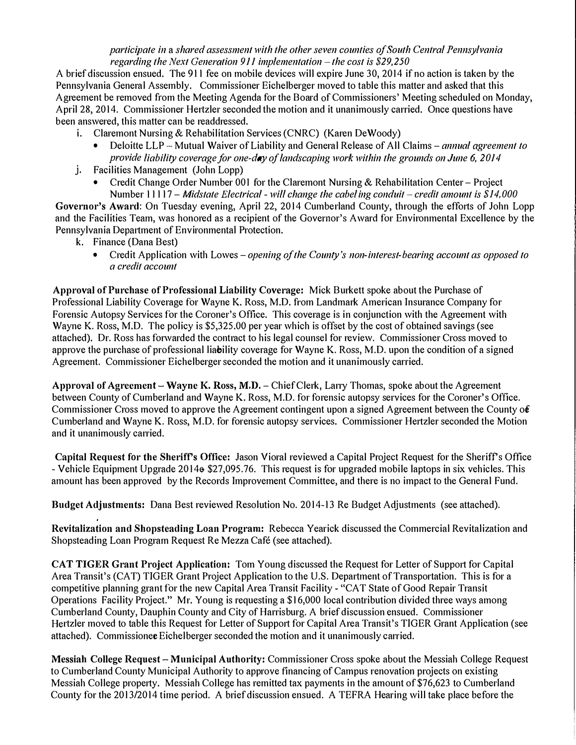*participate in* a *shared assessment with the other seven counties of South Central Pennsylvania regarding the Next Generation 911 implementation – the cost is \$29,250* 

A *br*ie*f*discussion ensued. The 911 fee on mo*b*ile devices will expi*r*e June 30, 20 I 4 i*f* no action is taken *b*y the Pennsylvania Gene*r*al Assem*b*ly. Commissione*r* Eichel*b*e*r*ge*r* moved to ta*b*le this matte*r* and asked that this Ag*r*eement *b*e *r*emoved from the Meeting Agenda fo*r* the Boa*r*d o*f*Commissione*r*s' Meeting scheduled on Monday, Ap*r*il 28, 2014. Commissione*r* He*r*tzle*r* seconded the motion and it unanimously ca*rr*ied. Once questions have *b*een answe*r*ed, this matte*r* can *b*e *r*eadd*r*essed.

- i. Claremont Nursing & Rehabilitation Services (CNRC) (Karen DeWoody)
- Deloitte LLP Mutual Waiver of Liability and General Release of All Claims annual agreement to *provide liability coverage for one-day of landscaping work within the grounds on June 6, 2014*<br>j. Facilities Management (John Lopp)
- - Credit Change Order Number 001 for the Claremont Nursing & Rehabilitation Center Project Num*b*e*r* 11117 - *Midstate Electrical* -*will change the cabeling conduit* -*credit amount is \$14,000*

Governor's Award: On Tuesday evening, April 22, 2014 Cumberland County, through the efforts of John Lopp and the Facilities Team, was hono*r*ed as a *r*ecipient o*f* the Governo*r*'s Awa*r*d fo*r* Envi*r*onmental Excellence *b*y the Pennsylvania Department of Environmental Protection.

- k. Finance (Dana Best)
	- Credit Application with Lowes *opening of the County's non-interest-bearing account as opposed to a credit account*

**Approval of Purchase of Professional Liability Coverage:** Mick Bu*r*kett spoke a*b*out the Pu*r*chase o*f*  P*r*ofessional Lia*b*ility Cove*r*age fo*r* Wayne K. Ross, M.D. f<sup>r</sup> om Landma*r*k Ame*r*ican Insu*r*ance Company fo*r*  Fo*r*ensic Autopsy Se*r*vices fo*r* the Co*r*one*r*'s Office. This cove*r*age is in conjunction with the Ag*r*eement with Wayne K. Ross, M.D. The policy is \$5,325.00 pe*r* yea*r* which is offset *b*y the cost o*f* o*b*tained savings (see attached). D*r*. Ross has fo*r*wa*r*ded the cont*r*act to his legal counsel fo*r r*eview. Commissione*r* C*r*oss moved to approve the purchase of professional liability coverage for Wayne K. Ross, M.D. upon the condition of a signed Ag*r*eement. Commissione*r* Eichel*b*e*r*ge*r* seconded the motion and it unanimously ca*rr*ied.

Approval of Agreement - Wayne **K.** Ross, M,D, - Chie*f*Cle*r*k, La*rr*y Thomas, spoke a*b*out the Ag*r*eement *b*etween County o*f*Cum*b*e*r*land and Wayne K. Ross, M.D. fo*r* fo*r*ensic autopsy se*r*vices fo*r* the Co*r*one*r*'s Office. Commissione*r* C*r*oss moved to app*r*ove the Ag*r*eement contingent upon a signed Ag*r*eement *b*etween the County oe*f*  Cum*b*e*r*land and Wayne K. Ross, M.D. fo*r* fo*r*ensic autopsy se*r*vices. Commissione*r* He1tzle*r* seconded the Motion and it unanimously ca*rr*ied.

**Capital Request for the Sheriff's Office:** Jason Yio*r*al *r*eviewed a Capital P*r*oject Request fo*r* the She*r*iffs Office - Vehicle Equipment Upgrade 2014e \$27,095.76. This request is for upgraded mobile laptops in six vehicles. This amount has *b*een app*r*oved *b*y the Reco*r*ds Imp*r*ovement Committee, and the*r*e is no impact to the Gene*r*al Fund.

**Budget Adjustments:** Dana Best *r*eviewed Resolution No. 2014-13 Re Budget Adjustments (see attached).

**Revitalization and Shopsteading Loan Program:** Re*b*ecca Yea*r*ick discussed the Comme*r*cial Revitalization and Shopsteading Loan P*r*og*r*am Request Re Mezza Ca*f*e (see attached).

**CAT TIGER Grant Project Application:** Tom Young discussed the Request fo*r* Lette*r* o*f*Suppo1t fo*r* Capital A*r*ea T*r*ansit's (CAT) TIGER G*r*ant P*r*oject Application to the U.S. Depa*r*tment o*f*T*r*anspo*r*tation. This is fo*r* a competitive planning g*r*ant fo*r* the new Capital A*r*ea T*r*ansit Facility - "CAT State o*f*Good Repai*r* T*r*ansit Ope*r*ations Facility P*r*oject." M*r*. Young is *r*equesting a \$16,000 local cont*r*i*b*ution divided th*r*ee ways among Cum*b*e*r*land County, Dauphin County and City o*f*Ha*rr*is*b*u*r*g. A *br*ie*f*discussion ensued. Commissione*r*  He*r*tzle*r* moved to ta*b*le this Request fo*r* Lette*r* o*f*Suppo1t fo*r* Capital A*r*ea T*r*ansit's TIGER G*r*ant Application (see attached). Commissionee*r* Eichel*b*e*r*ge*r* seconded the motion and it unanimously ca*rr*ied.

**Messiah College Request** - **Municipal Authority:** Commissione*r* C*r*oss spoke a*b*out the Messiah College Request to Cum*b*e*r*land County Municipal Autho*r*ity to app*r*ove financing o*f*Campus *r*enovation p*r*ojects on existing Messiah College property. Messiah College has remitted tax payments in the amount of \$76,623 to Cumberland County fo*r* the 2013/2014 time pe*r*iod. A *br*ie*f*discussion ensued. A TEFRA Hea*r*ing will take place *b*efo*r*e the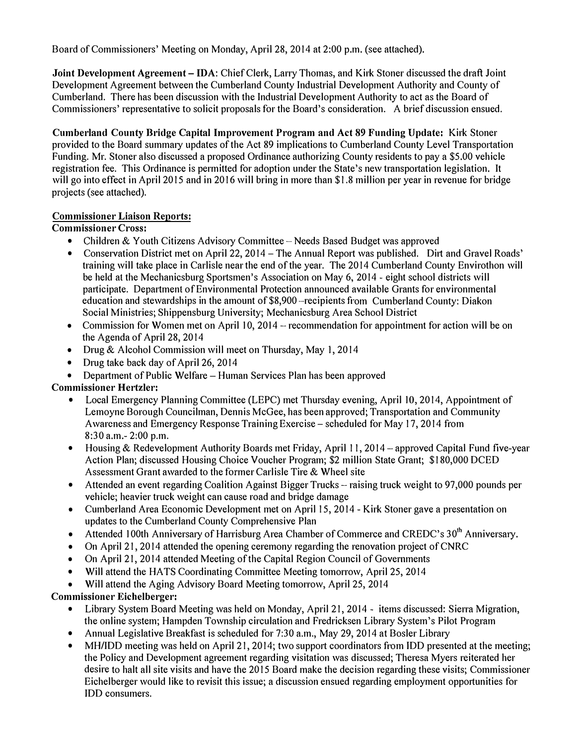Board of Commissioners' Meeting on Monday, April 28, 2014 at 2:00 p.m. (see attached).

**Joint Development Agreement-IDA:** Chief Clerk, Larry Thomas, and Kirk Stoner discussed the draft Joint Development Agreement between the Cumberland County Industrial Development Authority and County of Cumberland. There has been discussion with the Industrial Development Authority to act as the Board of Commissioners' representative to solicit proposals for the Board's consideration. A brief discussion ensued.

**Cumberland County Bridge Capital Improvement Program and Act 89 Funding Update:** Kirk Stoner provided to the Board summary updates of the Act 89 implications to Cumberland County Level Transportation Funding. Mr. Stoner also discussed a proposed Ordinance authorizing County residents to pay a \$5.00 vehicle registration fee. This Ordinance is permitted for adoption under the State's new transportation legislation. It will go into effect in April 2015 and in 2016 will bring in more than \$1.8 million per year in revenue for bridge projects (see attached).

## **Commissioner Liaison Reports:**

**Commissioner Cross:** 

- 
- Children & Youth Citizens Advisory Committee Needs Based Budget was approved<br>• Conservation District met on April 22, 2014 The Annual Report was published. Dirt and Gravel Roads' training will take place in Carlisle near the end of the year. The 2014 Cumberland County Envirothon will be held at the Mechanicsburg Sportsmen's Association on May 6, 2014 - eight school districts will participate. Department of Environmental Protection announced available Grants for environmental education and stewardships in the amount of \$8,900 -recipients from Cumberland County: Diakon Social Ministries; Shippensburg University; Mechanicsburg Area School District
- Commission for Women met on April 10, 2014 recommendation for appointment for action will be on the Agenda of April 28, 2014
- Drug & Alcohol Commission will meet on Thursday, May 1, 2014
- Drug take back day of April 26, 2014
- Department of Public Welfare Human Services Plan has been approved

# **Commissioner Hertzler:**

- Local Emergency Planning Committee (LEPC) met Thursday evening, April IO, 2014, Appointment of Lemoyne Borough Councilman, Dennis McGee, has been approved; Transportation and Community Awareness and Emergency Response Training Exercise - scheduled for May 17, 2014 from 8:30 a.m.-2:00 p.m.
- Housing & Redevelopment Authority Boards met Friday, April 11, 2014 approved Capital Fund five-year Action Plan; discussed Housing Choice Voucher Program; \$2 million State Grant; \$180,000 DCED Assessment Grant awarded to the former Carlisle Tire & Wheel site
- Attended an event regarding Coalition Against Bigger Trucks raising truck weight to 97,000 pounds per vehicle; heavier truck weight can cause road and bridge damage
- Cumberland Area Economic Development met on April 15, 2014 Kirk Stoner gave a presentation on updates to the Cumberland County Comprehensive Plan
- Attended 100th Anniversary of Harrisburg Area Chamber of Commerce and CREDC's  $30<sup>th</sup>$  Anniversary.
- On April 21, 2014 attended the opening ceremony regarding the renovation project of CNRC
- On April 21, 2014 attended Meeting of the Capital Region Council of Governments
- Will attend the HATS Coordinating Committee Meeting tomorrow, April 25, 2014
- Will attend the Aging Advisory Board Meeting tomorrow, April 25, 2014

# **Commissioner Eichelberger:**

- Library System Board Meeting was held on Monday, April 21, 2014 items discussed: Sierra Migration, the online system; Hampden Township circulation and Fredricksen Library System's Pilot Program
- Annual Legislative Breakfast is scheduled for 7:30 a.m., May 29, 2014 at Bosler Library
- MH/IDD meeting was held on April 21, 2014; two support coordinators from IDD presented at the meeting; the Policy and Development agreement regarding visitation was discussed; Theresa Myers reiterated her desire to halt all site visits and have the 2015 Board make the decision regarding these visits; Commissioner Eichelberger would like to revisit this issue; a discussion ensued regarding employment opportunities for IDD consumers.